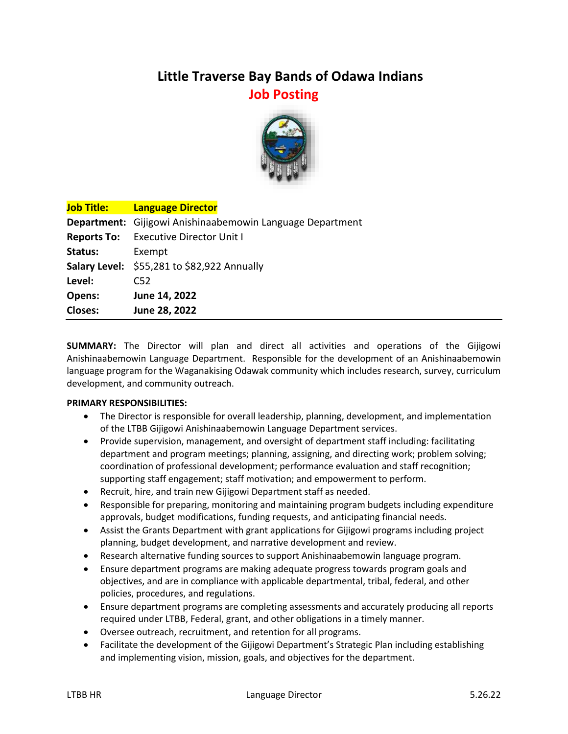# **Little Traverse Bay Bands of Odawa Indians Job Posting**



| <b>Job Title:</b> The T | <b>Language Director</b>                                  |
|-------------------------|-----------------------------------------------------------|
|                         | Department: Gijigowi Anishinaabemowin Language Department |
|                         | <b>Reports To:</b> Executive Director Unit I              |
| Status:                 | Exempt                                                    |
|                         | Salary Level: \$55,281 to \$82,922 Annually               |
| Level:                  | C52                                                       |
| Opens:                  | June 14, 2022                                             |
| <b>Closes:</b>          | June 28, 2022                                             |

**SUMMARY:** The Director will plan and direct all activities and operations of the Gijigowi Anishinaabemowin Language Department. Responsible for the development of an Anishinaabemowin language program for the Waganakising Odawak community which includes research, survey, curriculum development, and community outreach.

## **PRIMARY RESPONSIBILITIES:**

- The Director is responsible for overall leadership, planning, development, and implementation of the LTBB Gijigowi Anishinaabemowin Language Department services.
- Provide supervision, management, and oversight of department staff including: facilitating department and program meetings; planning, assigning, and directing work; problem solving; coordination of professional development; performance evaluation and staff recognition; supporting staff engagement; staff motivation; and empowerment to perform.
- Recruit, hire, and train new Gijigowi Department staff as needed.
- Responsible for preparing, monitoring and maintaining program budgets including expenditure approvals, budget modifications, funding requests, and anticipating financial needs.
- Assist the Grants Department with grant applications for Gijigowi programs including project planning, budget development, and narrative development and review.
- Research alternative funding sources to support Anishinaabemowin language program.
- Ensure department programs are making adequate progress towards program goals and objectives, and are in compliance with applicable departmental, tribal, federal, and other policies, procedures, and regulations.
- Ensure department programs are completing assessments and accurately producing all reports required under LTBB, Federal, grant, and other obligations in a timely manner.
- Oversee outreach, recruitment, and retention for all programs.
- Facilitate the development of the Gijigowi Department's Strategic Plan including establishing and implementing vision, mission, goals, and objectives for the department.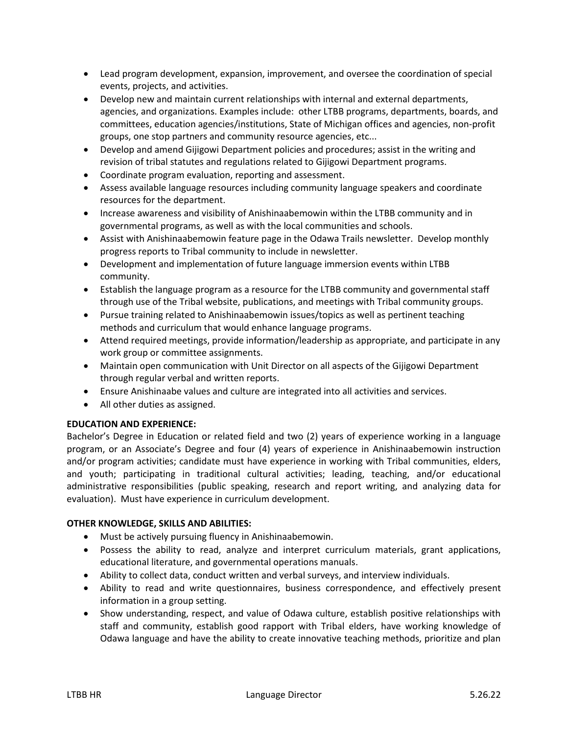- Lead program development, expansion, improvement, and oversee the coordination of special events, projects, and activities.
- Develop new and maintain current relationships with internal and external departments, agencies, and organizations. Examples include: other LTBB programs, departments, boards, and committees, education agencies/institutions, State of Michigan offices and agencies, non-profit groups, one stop partners and community resource agencies, etc...
- Develop and amend Gijigowi Department policies and procedures; assist in the writing and revision of tribal statutes and regulations related to Gijigowi Department programs.
- Coordinate program evaluation, reporting and assessment.
- Assess available language resources including community language speakers and coordinate resources for the department.
- Increase awareness and visibility of Anishinaabemowin within the LTBB community and in governmental programs, as well as with the local communities and schools.
- Assist with Anishinaabemowin feature page in the Odawa Trails newsletter. Develop monthly progress reports to Tribal community to include in newsletter.
- Development and implementation of future language immersion events within LTBB community.
- Establish the language program as a resource for the LTBB community and governmental staff through use of the Tribal website, publications, and meetings with Tribal community groups.
- Pursue training related to Anishinaabemowin issues/topics as well as pertinent teaching methods and curriculum that would enhance language programs.
- Attend required meetings, provide information/leadership as appropriate, and participate in any work group or committee assignments.
- Maintain open communication with Unit Director on all aspects of the Gijigowi Department through regular verbal and written reports.
- Ensure Anishinaabe values and culture are integrated into all activities and services.
- All other duties as assigned.

## **EDUCATION AND EXPERIENCE:**

Bachelor's Degree in Education or related field and two (2) years of experience working in a language program, or an Associate's Degree and four (4) years of experience in Anishinaabemowin instruction and/or program activities; candidate must have experience in working with Tribal communities, elders, and youth; participating in traditional cultural activities; leading, teaching, and/or educational administrative responsibilities (public speaking, research and report writing, and analyzing data for evaluation). Must have experience in curriculum development.

## **OTHER KNOWLEDGE, SKILLS AND ABILITIES:**

- Must be actively pursuing fluency in Anishinaabemowin.
- Possess the ability to read, analyze and interpret curriculum materials, grant applications, educational literature, and governmental operations manuals.
- Ability to collect data, conduct written and verbal surveys, and interview individuals.
- Ability to read and write questionnaires, business correspondence, and effectively present information in a group setting.
- Show understanding, respect, and value of Odawa culture, establish positive relationships with staff and community, establish good rapport with Tribal elders, have working knowledge of Odawa language and have the ability to create innovative teaching methods, prioritize and plan